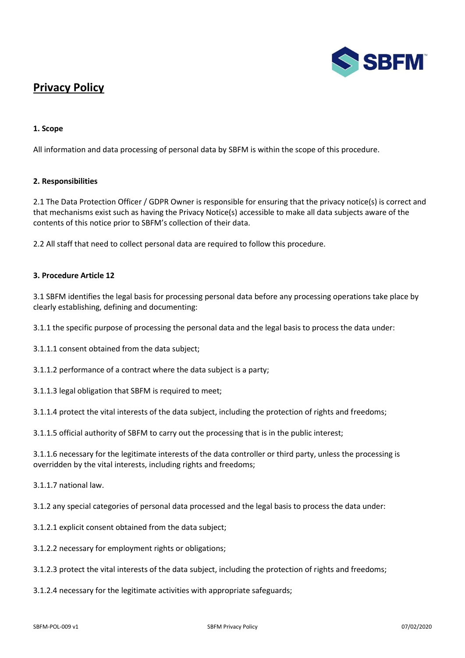

# **Privacy Policy**

# **1. Scope**

All information and data processing of personal data by SBFM is within the scope of this procedure.

### **2. Responsibilities**

2.1 The Data Protection Officer / GDPR Owner is responsible for ensuring that the privacy notice(s) is correct and that mechanisms exist such as having the Privacy Notice(s) accessible to make all data subjects aware of the contents of this notice prior to SBFM's collection of their data.

2.2 All staff that need to collect personal data are required to follow this procedure.

# **3. Procedure Article 12**

3.1 SBFM identifies the legal basis for processing personal data before any processing operations take place by clearly establishing, defining and documenting:

3.1.1 the specific purpose of processing the personal data and the legal basis to process the data under:

3.1.1.1 consent obtained from the data subject;

3.1.1.2 performance of a contract where the data subject is a party;

3.1.1.3 legal obligation that SBFM is required to meet;

3.1.1.4 protect the vital interests of the data subject, including the protection of rights and freedoms;

3.1.1.5 official authority of SBFM to carry out the processing that is in the public interest;

3.1.1.6 necessary for the legitimate interests of the data controller or third party, unless the processing is overridden by the vital interests, including rights and freedoms;

3.1.1.7 national law.

3.1.2 any special categories of personal data processed and the legal basis to process the data under:

- 3.1.2.1 explicit consent obtained from the data subject;
- 3.1.2.2 necessary for employment rights or obligations;
- 3.1.2.3 protect the vital interests of the data subject, including the protection of rights and freedoms;

3.1.2.4 necessary for the legitimate activities with appropriate safeguards;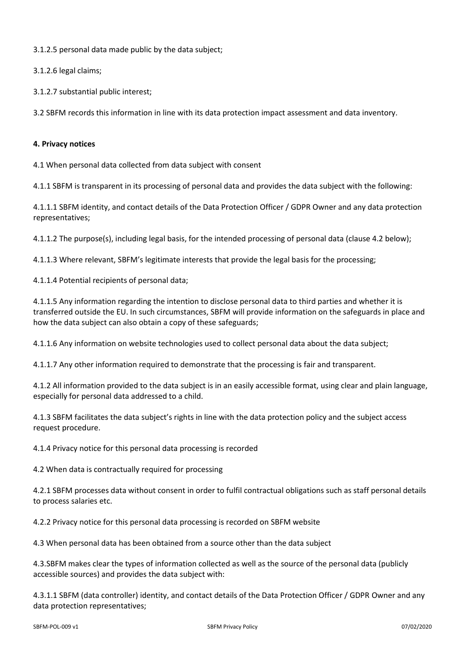3.1.2.5 personal data made public by the data subject;

3.1.2.6 legal claims;

3.1.2.7 substantial public interest;

3.2 SBFM records this information in line with its data protection impact assessment and data inventory.

# **4. Privacy notices**

4.1 When personal data collected from data subject with consent

4.1.1 SBFM is transparent in its processing of personal data and provides the data subject with the following:

4.1.1.1 SBFM identity, and contact details of the Data Protection Officer / GDPR Owner and any data protection representatives;

4.1.1.2 The purpose(s), including legal basis, for the intended processing of personal data (clause 4.2 below);

4.1.1.3 Where relevant, SBFM's legitimate interests that provide the legal basis for the processing;

4.1.1.4 Potential recipients of personal data;

4.1.1.5 Any information regarding the intention to disclose personal data to third parties and whether it is transferred outside the EU. In such circumstances, SBFM will provide information on the safeguards in place and how the data subject can also obtain a copy of these safeguards;

4.1.1.6 Any information on website technologies used to collect personal data about the data subject;

4.1.1.7 Any other information required to demonstrate that the processing is fair and transparent.

4.1.2 All information provided to the data subject is in an easily accessible format, using clear and plain language, especially for personal data addressed to a child.

4.1.3 SBFM facilitates the data subject's rights in line with the data protection policy and the subject access request procedure.

4.1.4 Privacy notice for this personal data processing is recorded

4.2 When data is contractually required for processing

4.2.1 SBFM processes data without consent in order to fulfil contractual obligations such as staff personal details to process salaries etc.

4.2.2 Privacy notice for this personal data processing is recorded on SBFM website

4.3 When personal data has been obtained from a source other than the data subject

4.3.SBFM makes clear the types of information collected as well as the source of the personal data (publicly accessible sources) and provides the data subject with:

4.3.1.1 SBFM (data controller) identity, and contact details of the Data Protection Officer / GDPR Owner and any data protection representatives;